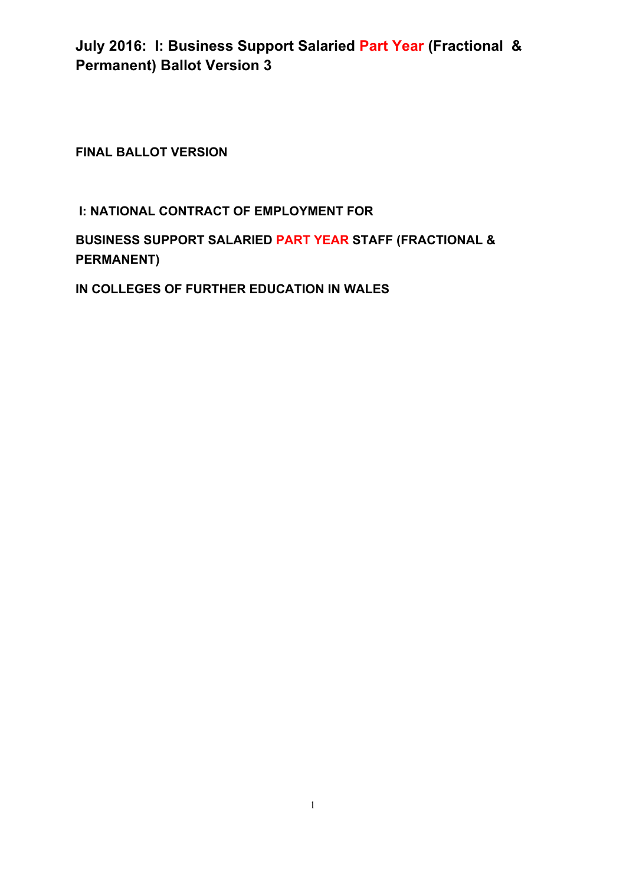**FINAL BALLOT VERSION**

### **I: NATIONAL CONTRACT OF EMPLOYMENT FOR**

### **BUSINESS SUPPORT SALARIED PART YEAR STAFF (FRACTIONAL & PERMANENT)**

**IN COLLEGES OF FURTHER EDUCATION IN WALES**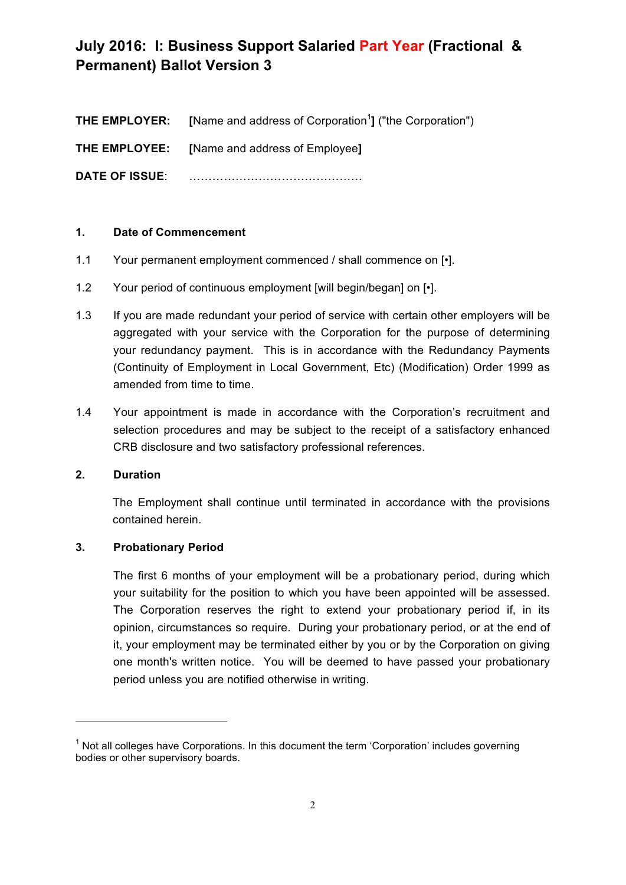| THE EMPLOYER:         | [Name and address of Corporation <sup>1</sup> ] ("the Corporation") |
|-----------------------|---------------------------------------------------------------------|
| <b>THE EMPLOYEE:</b>  | [Name and address of Employee]                                      |
| <b>DATE OF ISSUE:</b> |                                                                     |

### **1. Date of Commencement**

- 1.1 Your permanent employment commenced / shall commence on [.].
- 1.2 Your period of continuous employment [will begin/began] on [ $\cdot$ ].
- 1.3 If you are made redundant your period of service with certain other employers will be aggregated with your service with the Corporation for the purpose of determining your redundancy payment. This is in accordance with the Redundancy Payments (Continuity of Employment in Local Government, Etc) (Modification) Order 1999 as amended from time to time.
- 1.4 Your appointment is made in accordance with the Corporation's recruitment and selection procedures and may be subject to the receipt of a satisfactory enhanced CRB disclosure and two satisfactory professional references.

### **2. Duration**

The Employment shall continue until terminated in accordance with the provisions contained herein.

### **3. Probationary Period**

<u> 1989 - Jan Samuel Barbara, margaret e</u>

The first 6 months of your employment will be a probationary period, during which your suitability for the position to which you have been appointed will be assessed. The Corporation reserves the right to extend your probationary period if, in its opinion, circumstances so require. During your probationary period, or at the end of it, your employment may be terminated either by you or by the Corporation on giving one month's written notice. You will be deemed to have passed your probationary period unless you are notified otherwise in writing.

 $1$  Not all colleges have Corporations. In this document the term 'Corporation' includes governing bodies or other supervisory boards.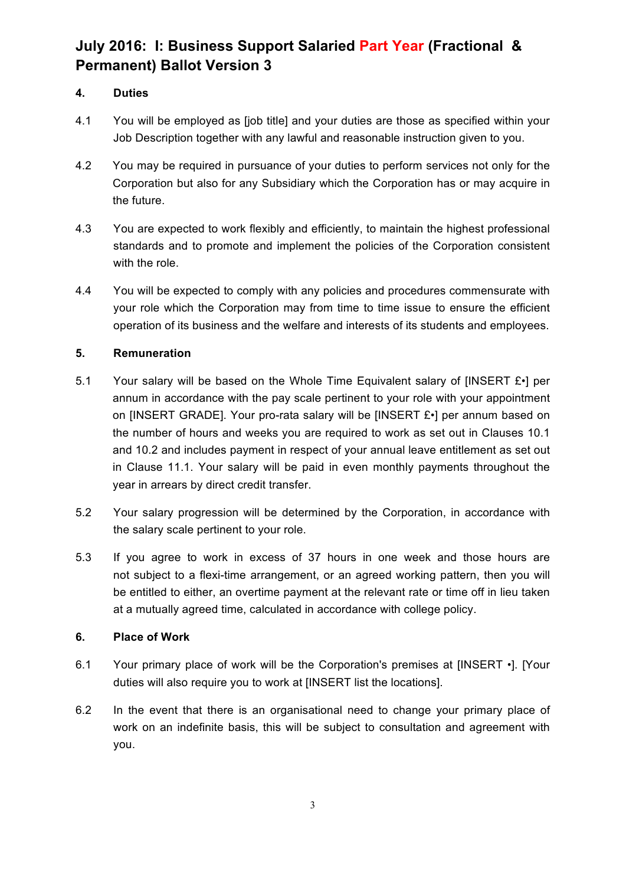### **4. Duties**

- 4.1 You will be employed as [job title] and your duties are those as specified within your Job Description together with any lawful and reasonable instruction given to you.
- 4.2 You may be required in pursuance of your duties to perform services not only for the Corporation but also for any Subsidiary which the Corporation has or may acquire in the future.
- 4.3 You are expected to work flexibly and efficiently, to maintain the highest professional standards and to promote and implement the policies of the Corporation consistent with the role.
- 4.4 You will be expected to comply with any policies and procedures commensurate with your role which the Corporation may from time to time issue to ensure the efficient operation of its business and the welfare and interests of its students and employees.

### **5. Remuneration**

- 5.1 Your salary will be based on the Whole Time Equivalent salary of [INSERT £•] per annum in accordance with the pay scale pertinent to your role with your appointment on [INSERT GRADE]. Your pro-rata salary will be [INSERT £•] per annum based on the number of hours and weeks you are required to work as set out in Clauses 10.1 and 10.2 and includes payment in respect of your annual leave entitlement as set out in Clause 11.1. Your salary will be paid in even monthly payments throughout the year in arrears by direct credit transfer.
- 5.2 Your salary progression will be determined by the Corporation, in accordance with the salary scale pertinent to your role.
- 5.3 If you agree to work in excess of 37 hours in one week and those hours are not subject to a flexi-time arrangement, or an agreed working pattern, then you will be entitled to either, an overtime payment at the relevant rate or time off in lieu taken at a mutually agreed time, calculated in accordance with college policy.

### **6. Place of Work**

- 6.1 Your primary place of work will be the Corporation's premises at [INSERT •]. [Your duties will also require you to work at [INSERT list the locations].
- 6.2 In the event that there is an organisational need to change your primary place of work on an indefinite basis, this will be subject to consultation and agreement with you.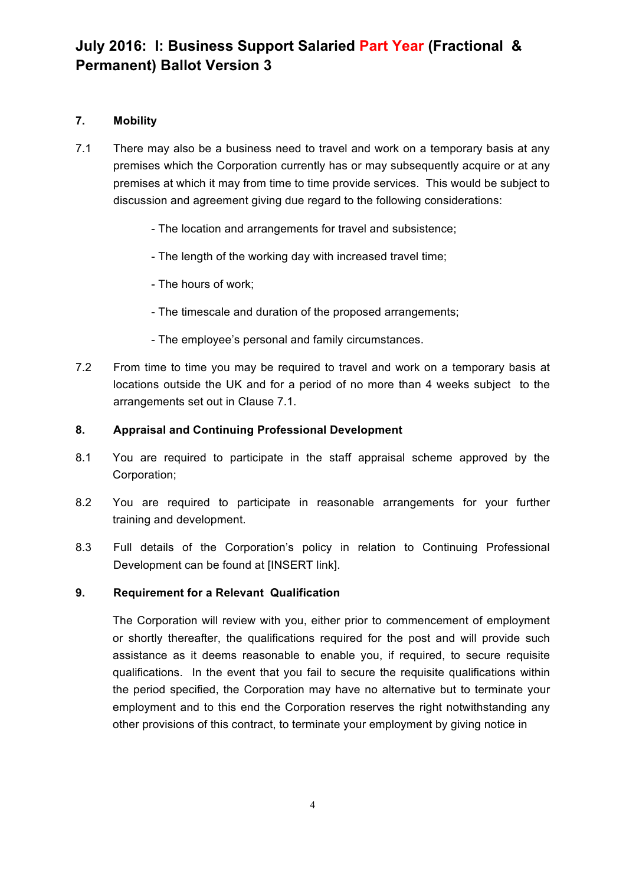### **7. Mobility**

- 7.1 There may also be a business need to travel and work on a temporary basis at any premises which the Corporation currently has or may subsequently acquire or at any premises at which it may from time to time provide services. This would be subject to discussion and agreement giving due regard to the following considerations:
	- The location and arrangements for travel and subsistence;
	- The length of the working day with increased travel time;
	- The hours of work;
	- The timescale and duration of the proposed arrangements;
	- The employee's personal and family circumstances.
- 7.2 From time to time you may be required to travel and work on a temporary basis at locations outside the UK and for a period of no more than 4 weeks subject to the arrangements set out in Clause 7.1.

### **8. Appraisal and Continuing Professional Development**

- 8.1 You are required to participate in the staff appraisal scheme approved by the Corporation;
- 8.2 You are required to participate in reasonable arrangements for your further training and development.
- 8.3 Full details of the Corporation's policy in relation to Continuing Professional Development can be found at [INSERT link].

### **9. Requirement for a Relevant Qualification**

The Corporation will review with you, either prior to commencement of employment or shortly thereafter, the qualifications required for the post and will provide such assistance as it deems reasonable to enable you, if required, to secure requisite qualifications. In the event that you fail to secure the requisite qualifications within the period specified, the Corporation may have no alternative but to terminate your employment and to this end the Corporation reserves the right notwithstanding any other provisions of this contract, to terminate your employment by giving notice in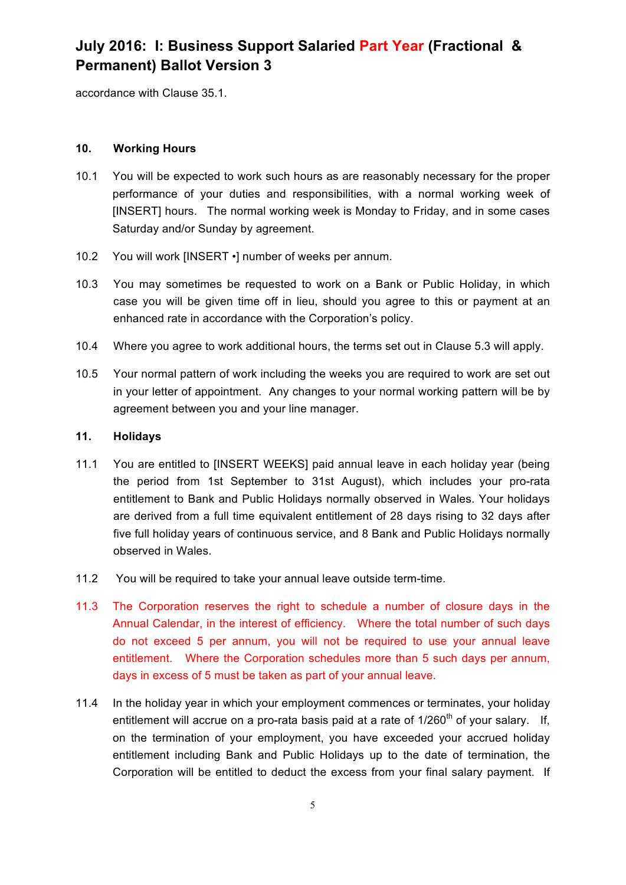accordance with Clause 35.1.

### **10. Working Hours**

- 10.1 You will be expected to work such hours as are reasonably necessary for the proper performance of your duties and responsibilities, with a normal working week of [INSERT] hours. The normal working week is Monday to Friday, and in some cases Saturday and/or Sunday by agreement.
- 10.2 You will work [INSERT •] number of weeks per annum.
- 10.3 You may sometimes be requested to work on a Bank or Public Holiday, in which case you will be given time off in lieu, should you agree to this or payment at an enhanced rate in accordance with the Corporation's policy.
- 10.4 Where you agree to work additional hours, the terms set out in Clause 5.3 will apply.
- 10.5 Your normal pattern of work including the weeks you are required to work are set out in your letter of appointment. Any changes to your normal working pattern will be by agreement between you and your line manager.

#### **11. Holidays**

- 11.1 You are entitled to [INSERT WEEKS] paid annual leave in each holiday year (being the period from 1st September to 31st August), which includes your pro-rata entitlement to Bank and Public Holidays normally observed in Wales. Your holidays are derived from a full time equivalent entitlement of 28 days rising to 32 days after five full holiday years of continuous service, and 8 Bank and Public Holidays normally observed in Wales.
- 11.2 You will be required to take your annual leave outside term-time.
- 11.3 The Corporation reserves the right to schedule a number of closure days in the Annual Calendar, in the interest of efficiency. Where the total number of such days do not exceed 5 per annum, you will not be required to use your annual leave entitlement. Where the Corporation schedules more than 5 such days per annum, days in excess of 5 must be taken as part of your annual leave.
- 11.4 In the holiday year in which your employment commences or terminates, your holiday entitlement will accrue on a pro-rata basis paid at a rate of  $1/260<sup>th</sup>$  of your salary. If, on the termination of your employment, you have exceeded your accrued holiday entitlement including Bank and Public Holidays up to the date of termination, the Corporation will be entitled to deduct the excess from your final salary payment. If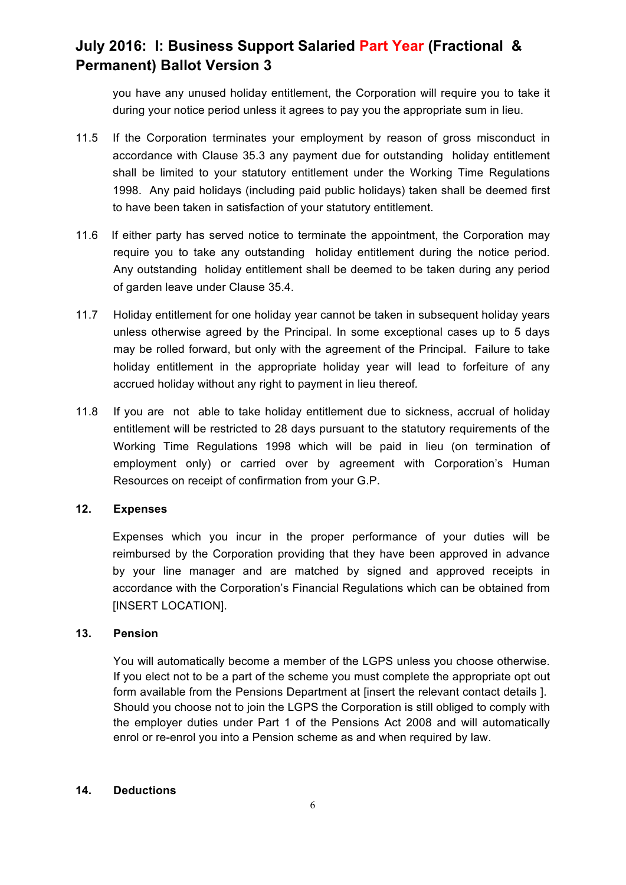you have any unused holiday entitlement, the Corporation will require you to take it during your notice period unless it agrees to pay you the appropriate sum in lieu.

- 11.5 If the Corporation terminates your employment by reason of gross misconduct in accordance with Clause 35.3 any payment due for outstanding holiday entitlement shall be limited to your statutory entitlement under the Working Time Regulations 1998. Any paid holidays (including paid public holidays) taken shall be deemed first to have been taken in satisfaction of your statutory entitlement.
- 11.6If either party has served notice to terminate the appointment, the Corporation may require you to take any outstanding holiday entitlement during the notice period. Any outstanding holiday entitlement shall be deemed to be taken during any period of garden leave under Clause 35.4.
- 11.7 Holiday entitlement for one holiday year cannot be taken in subsequent holiday years unless otherwise agreed by the Principal. In some exceptional cases up to 5 days may be rolled forward, but only with the agreement of the Principal. Failure to take holiday entitlement in the appropriate holiday year will lead to forfeiture of any accrued holiday without any right to payment in lieu thereof*.*
- 11.8 If you are not able to take holiday entitlement due to sickness, accrual of holiday entitlement will be restricted to 28 days pursuant to the statutory requirements of the Working Time Regulations 1998 which will be paid in lieu (on termination of employment only) or carried over by agreement with Corporation's Human Resources on receipt of confirmation from your G.P.

### **12. Expenses**

Expenses which you incur in the proper performance of your duties will be reimbursed by the Corporation providing that they have been approved in advance by your line manager and are matched by signed and approved receipts in accordance with the Corporation's Financial Regulations which can be obtained from [INSERT LOCATION].

#### **13. Pension**

You will automatically become a member of the LGPS unless you choose otherwise. If you elect not to be a part of the scheme you must complete the appropriate opt out form available from the Pensions Department at [insert the relevant contact details ]. Should you choose not to join the LGPS the Corporation is still obliged to comply with the employer duties under Part 1 of the Pensions Act 2008 and will automatically enrol or re-enrol you into a Pension scheme as and when required by law.

#### **14. Deductions**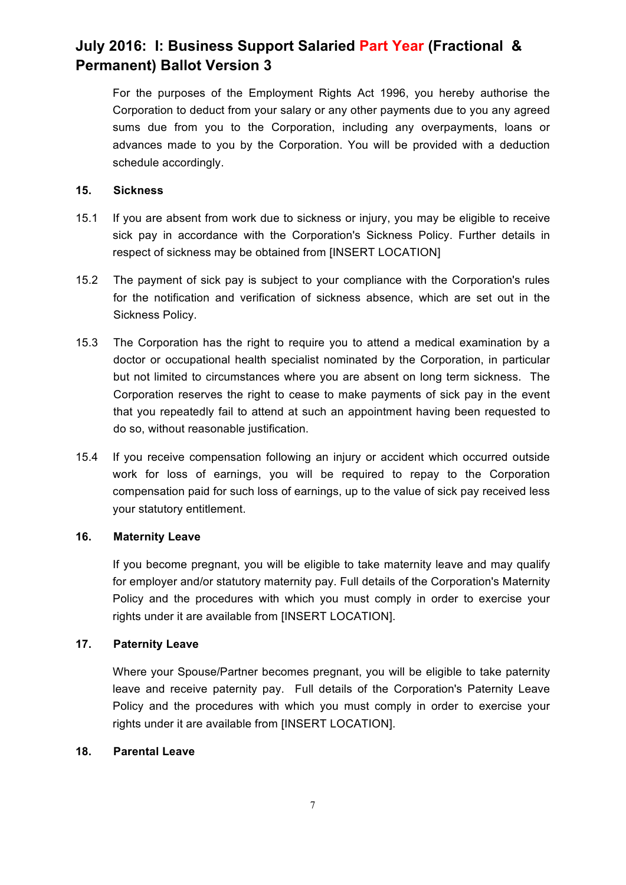For the purposes of the Employment Rights Act 1996, you hereby authorise the Corporation to deduct from your salary or any other payments due to you any agreed sums due from you to the Corporation, including any overpayments, loans or advances made to you by the Corporation. You will be provided with a deduction schedule accordingly.

#### **15. Sickness**

- 15.1 If you are absent from work due to sickness or injury, you may be eligible to receive sick pay in accordance with the Corporation's Sickness Policy. Further details in respect of sickness may be obtained from [INSERT LOCATION]
- 15.2 The payment of sick pay is subject to your compliance with the Corporation's rules for the notification and verification of sickness absence, which are set out in the Sickness Policy.
- 15.3 The Corporation has the right to require you to attend a medical examination by a doctor or occupational health specialist nominated by the Corporation, in particular but not limited to circumstances where you are absent on long term sickness. The Corporation reserves the right to cease to make payments of sick pay in the event that you repeatedly fail to attend at such an appointment having been requested to do so, without reasonable justification.
- 15.4 If you receive compensation following an injury or accident which occurred outside work for loss of earnings, you will be required to repay to the Corporation compensation paid for such loss of earnings, up to the value of sick pay received less your statutory entitlement.

### **16. Maternity Leave**

If you become pregnant, you will be eligible to take maternity leave and may qualify for employer and/or statutory maternity pay. Full details of the Corporation's Maternity Policy and the procedures with which you must comply in order to exercise your rights under it are available from [INSERT LOCATION].

### **17. Paternity Leave**

Where your Spouse/Partner becomes pregnant, you will be eligible to take paternity leave and receive paternity pay. Full details of the Corporation's Paternity Leave Policy and the procedures with which you must comply in order to exercise your rights under it are available from [INSERT LOCATION].

### **18. Parental Leave**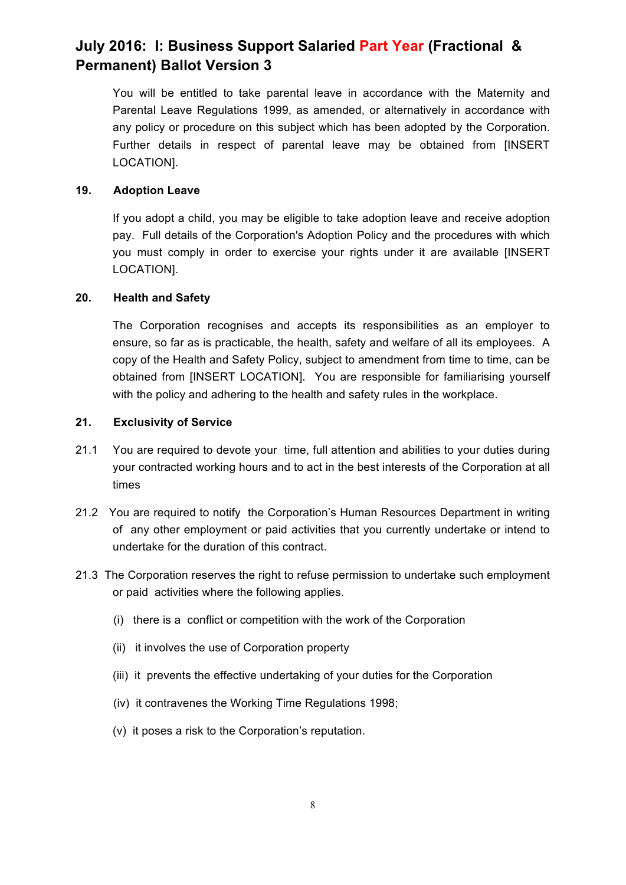You will be entitled to take parental leave in accordance with the Maternity and Parental Leave Regulations 1999, as amended, or alternatively in accordance with any policy or procedure on this subject which has been adopted by the Corporation. Further details in respect of parental leave may be obtained from [INSERT LOCATION].

### **19. Adoption Leave**

If you adopt a child, you may be eligible to take adoption leave and receive adoption pay. Full details of the Corporation's Adoption Policy and the procedures with which you must comply in order to exercise your rights under it are available [INSERT LOCATION].

#### **20. Health and Safety**

The Corporation recognises and accepts its responsibilities as an employer to ensure, so far as is practicable, the health, safety and welfare of all its employees. A copy of the Health and Safety Policy, subject to amendment from time to time, can be obtained from [INSERT LOCATION]. You are responsible for familiarising yourself with the policy and adhering to the health and safety rules in the workplace.

#### **21. Exclusivity of Service**

- 21.1 You are required to devote your time, full attention and abilities to your duties during your contracted working hours and to act in the best interests of the Corporation at all times
- 21.2 You are required to notify the Corporation's Human Resources Department in writing of any other employment or paid activities that you currently undertake or intend to undertake for the duration of this contract.
- 21.3 The Corporation reserves the right to refuse permission to undertake such employment or paid activities where the following applies.
	- (i) there is a conflict or competition with the work of the Corporation
	- (ii) it involves the use of Corporation property
	- (iii) it prevents the effective undertaking of your duties for the Corporation
	- (iv) it contravenes the Working Time Regulations 1998;
	- (v) it poses a risk to the Corporation's reputation.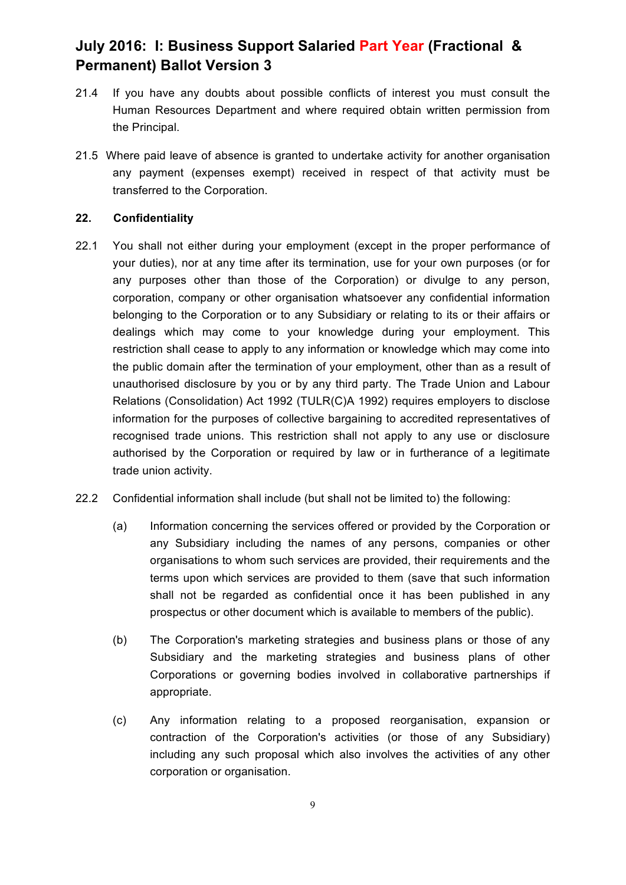- 21.4 If you have any doubts about possible conflicts of interest you must consult the Human Resources Department and where required obtain written permission from the Principal.
- 21.5 Where paid leave of absence is granted to undertake activity for another organisation any payment (expenses exempt) received in respect of that activity must be transferred to the Corporation.

### **22. Confidentiality**

- 22.1 You shall not either during your employment (except in the proper performance of your duties), nor at any time after its termination, use for your own purposes (or for any purposes other than those of the Corporation) or divulge to any person, corporation, company or other organisation whatsoever any confidential information belonging to the Corporation or to any Subsidiary or relating to its or their affairs or dealings which may come to your knowledge during your employment. This restriction shall cease to apply to any information or knowledge which may come into the public domain after the termination of your employment, other than as a result of unauthorised disclosure by you or by any third party. The Trade Union and Labour Relations (Consolidation) Act 1992 (TULR(C)A 1992) requires employers to disclose information for the purposes of collective bargaining to accredited representatives of recognised trade unions. This restriction shall not apply to any use or disclosure authorised by the Corporation or required by law or in furtherance of a legitimate trade union activity.
- 22.2 Confidential information shall include (but shall not be limited to) the following:
	- (a) Information concerning the services offered or provided by the Corporation or any Subsidiary including the names of any persons, companies or other organisations to whom such services are provided, their requirements and the terms upon which services are provided to them (save that such information shall not be regarded as confidential once it has been published in any prospectus or other document which is available to members of the public).
	- (b) The Corporation's marketing strategies and business plans or those of any Subsidiary and the marketing strategies and business plans of other Corporations or governing bodies involved in collaborative partnerships if appropriate.
	- (c) Any information relating to a proposed reorganisation, expansion or contraction of the Corporation's activities (or those of any Subsidiary) including any such proposal which also involves the activities of any other corporation or organisation.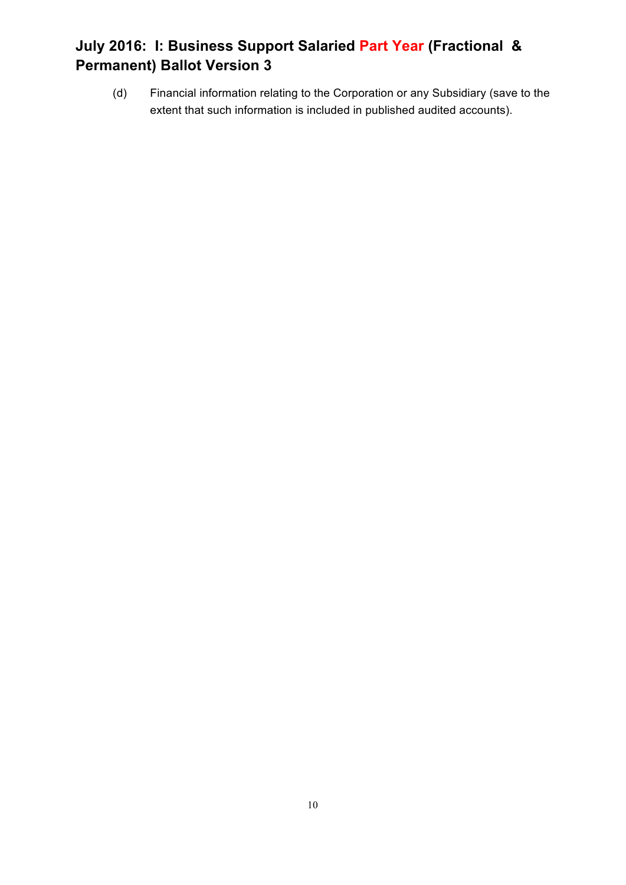(d) Financial information relating to the Corporation or any Subsidiary (save to the extent that such information is included in published audited accounts).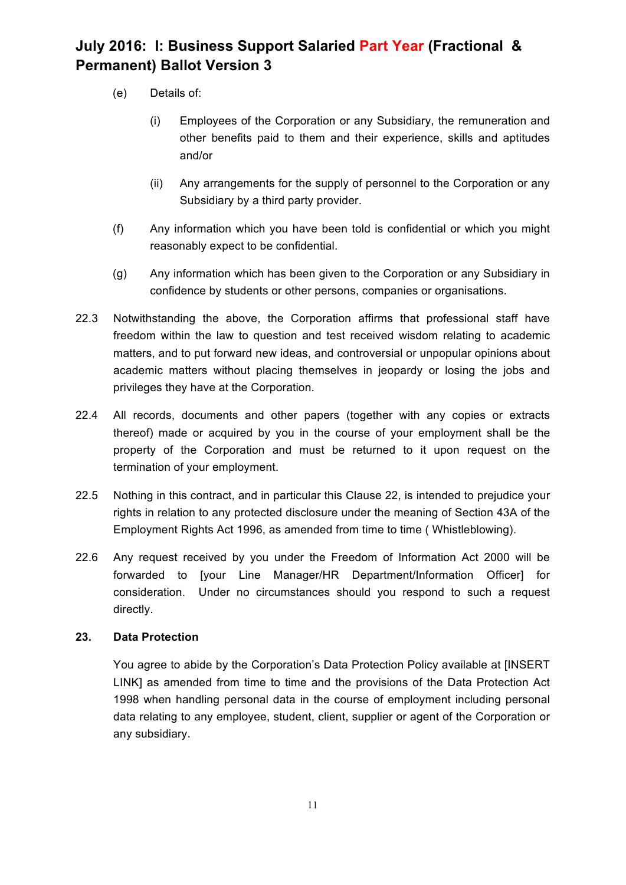- (e) Details of:
	- (i) Employees of the Corporation or any Subsidiary, the remuneration and other benefits paid to them and their experience, skills and aptitudes and/or
	- (ii) Any arrangements for the supply of personnel to the Corporation or any Subsidiary by a third party provider.
- (f) Any information which you have been told is confidential or which you might reasonably expect to be confidential.
- (g) Any information which has been given to the Corporation or any Subsidiary in confidence by students or other persons, companies or organisations.
- 22.3 Notwithstanding the above, the Corporation affirms that professional staff have freedom within the law to question and test received wisdom relating to academic matters, and to put forward new ideas, and controversial or unpopular opinions about academic matters without placing themselves in jeopardy or losing the jobs and privileges they have at the Corporation.
- 22.4 All records, documents and other papers (together with any copies or extracts thereof) made or acquired by you in the course of your employment shall be the property of the Corporation and must be returned to it upon request on the termination of your employment.
- 22.5 Nothing in this contract, and in particular this Clause 22, is intended to prejudice your rights in relation to any protected disclosure under the meaning of Section 43A of the Employment Rights Act 1996, as amended from time to time ( Whistleblowing).
- 22.6 Any request received by you under the Freedom of Information Act 2000 will be forwarded to [your Line Manager/HR Department/Information Officer] for consideration. Under no circumstances should you respond to such a request directly.

### **23. Data Protection**

You agree to abide by the Corporation's Data Protection Policy available at [INSERT LINK] as amended from time to time and the provisions of the Data Protection Act 1998 when handling personal data in the course of employment including personal data relating to any employee, student, client, supplier or agent of the Corporation or any subsidiary.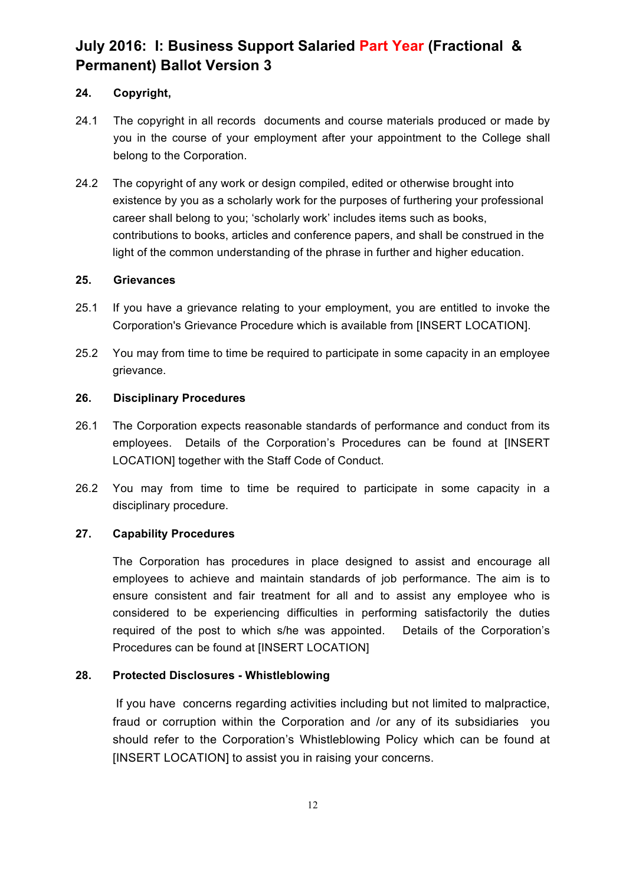### **24. Copyright,**

- 24.1 The copyright in all records documents and course materials produced or made by you in the course of your employment after your appointment to the College shall belong to the Corporation.
- 24.2 The copyright of any work or design compiled, edited or otherwise brought into existence by you as a scholarly work for the purposes of furthering your professional career shall belong to you; 'scholarly work' includes items such as books, contributions to books, articles and conference papers, and shall be construed in the light of the common understanding of the phrase in further and higher education.

#### **25. Grievances**

- 25.1 If you have a grievance relating to your employment, you are entitled to invoke the Corporation's Grievance Procedure which is available from [INSERT LOCATION].
- 25.2 You may from time to time be required to participate in some capacity in an employee grievance.

#### **26. Disciplinary Procedures**

- 26.1 The Corporation expects reasonable standards of performance and conduct from its employees. Details of the Corporation's Procedures can be found at [INSERT LOCATION] together with the Staff Code of Conduct.
- 26.2 You may from time to time be required to participate in some capacity in a disciplinary procedure.

### **27. Capability Procedures**

The Corporation has procedures in place designed to assist and encourage all employees to achieve and maintain standards of job performance. The aim is to ensure consistent and fair treatment for all and to assist any employee who is considered to be experiencing difficulties in performing satisfactorily the duties required of the post to which s/he was appointed. Details of the Corporation's Procedures can be found at [INSERT LOCATION]

### **28. Protected Disclosures - Whistleblowing**

If you have concerns regarding activities including but not limited to malpractice, fraud or corruption within the Corporation and /or any of its subsidiaries you should refer to the Corporation's Whistleblowing Policy which can be found at [INSERT LOCATION] to assist you in raising your concerns.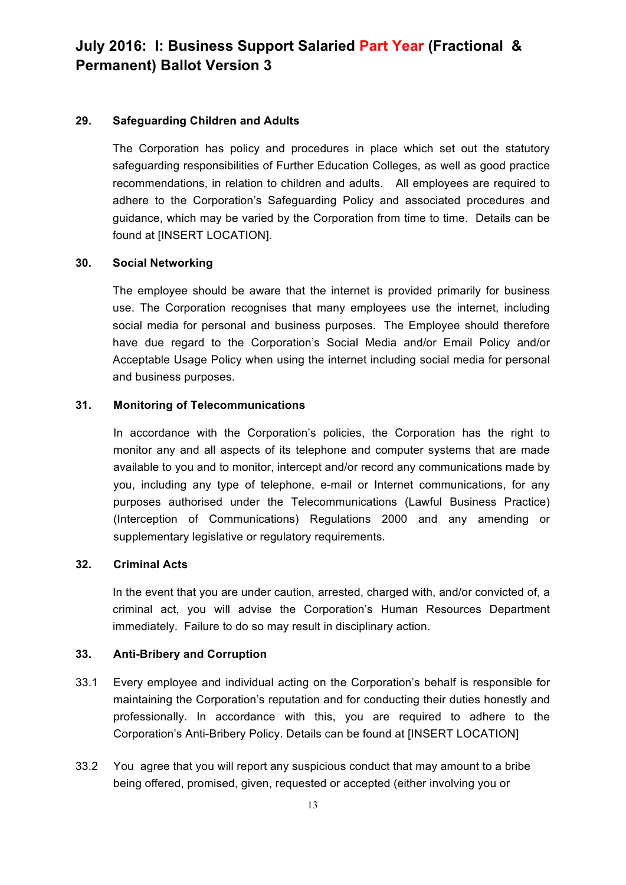#### **29. Safeguarding Children and Adults**

The Corporation has policy and procedures in place which set out the statutory safeguarding responsibilities of Further Education Colleges, as well as good practice recommendations, in relation to children and adults. All employees are required to adhere to the Corporation's Safeguarding Policy and associated procedures and guidance, which may be varied by the Corporation from time to time. Details can be found at [INSERT LOCATION].

#### **30. Social Networking**

The employee should be aware that the internet is provided primarily for business use. The Corporation recognises that many employees use the internet, including social media for personal and business purposes. The Employee should therefore have due regard to the Corporation's Social Media and/or Email Policy and/or Acceptable Usage Policy when using the internet including social media for personal and business purposes.

#### **31. Monitoring of Telecommunications**

In accordance with the Corporation's policies, the Corporation has the right to monitor any and all aspects of its telephone and computer systems that are made available to you and to monitor, intercept and/or record any communications made by you, including any type of telephone, e-mail or Internet communications, for any purposes authorised under the Telecommunications (Lawful Business Practice) (Interception of Communications) Regulations 2000 and any amending or supplementary legislative or regulatory requirements.

#### **32. Criminal Acts**

In the event that you are under caution, arrested, charged with, and/or convicted of, a criminal act, you will advise the Corporation's Human Resources Department immediately. Failure to do so may result in disciplinary action.

### **33. Anti-Bribery and Corruption**

- 33.1 Every employee and individual acting on the Corporation's behalf is responsible for maintaining the Corporation's reputation and for conducting their duties honestly and professionally. In accordance with this, you are required to adhere to the Corporation's Anti-Bribery Policy. Details can be found at [INSERT LOCATION]
- 33.2 You agree that you will report any suspicious conduct that may amount to a bribe being offered, promised, given, requested or accepted (either involving you or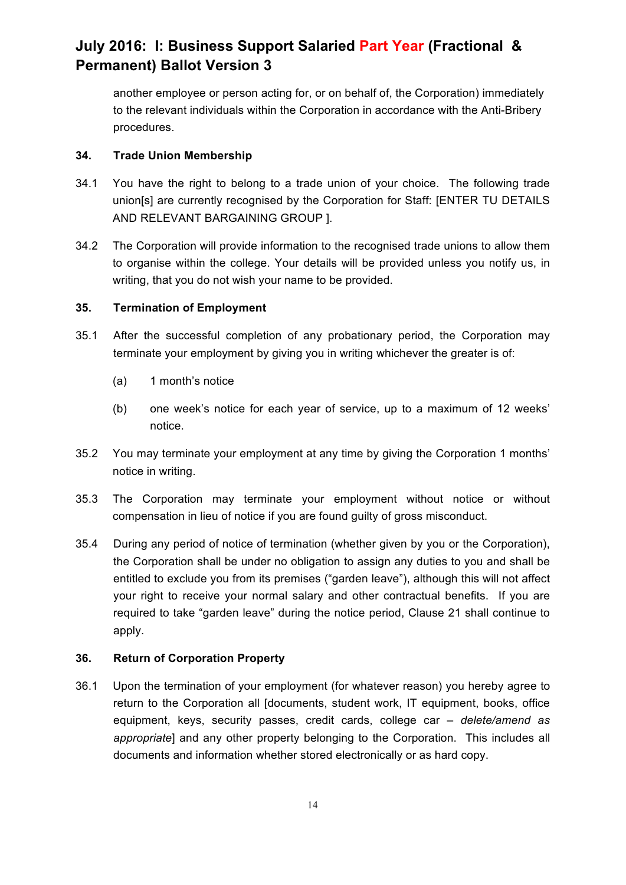another employee or person acting for, or on behalf of, the Corporation) immediately to the relevant individuals within the Corporation in accordance with the Anti-Bribery procedures.

### **34. Trade Union Membership**

- 34.1 You have the right to belong to a trade union of your choice. The following trade union[s] are currently recognised by the Corporation for Staff: [ENTER TU DETAILS AND RELEVANT BARGAINING GROUP ].
- 34.2 The Corporation will provide information to the recognised trade unions to allow them to organise within the college. Your details will be provided unless you notify us, in writing, that you do not wish your name to be provided.

### **35. Termination of Employment**

- 35.1 After the successful completion of any probationary period, the Corporation may terminate your employment by giving you in writing whichever the greater is of:
	- (a) 1 month's notice
	- (b) one week's notice for each year of service, up to a maximum of 12 weeks' notice.
- 35.2 You may terminate your employment at any time by giving the Corporation 1 months' notice in writing.
- 35.3 The Corporation may terminate your employment without notice or without compensation in lieu of notice if you are found guilty of gross misconduct.
- 35.4 During any period of notice of termination (whether given by you or the Corporation), the Corporation shall be under no obligation to assign any duties to you and shall be entitled to exclude you from its premises ("garden leave"), although this will not affect your right to receive your normal salary and other contractual benefits. If you are required to take "garden leave" during the notice period, Clause 21 shall continue to apply.

### **36. Return of Corporation Property**

36.1 Upon the termination of your employment (for whatever reason) you hereby agree to return to the Corporation all [documents, student work, IT equipment, books, office equipment, keys, security passes, credit cards, college car *– delete/amend as appropriate*] and any other property belonging to the Corporation. This includes all documents and information whether stored electronically or as hard copy.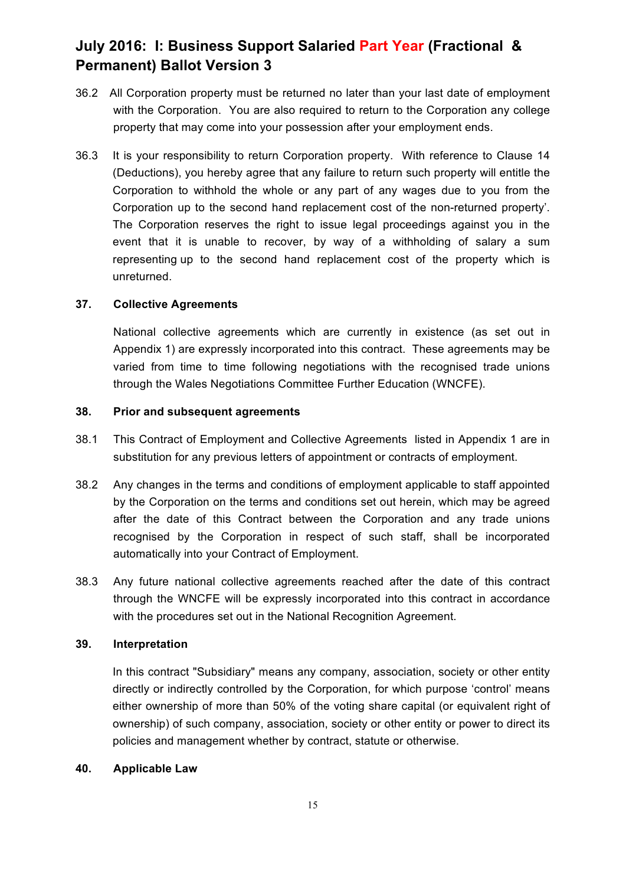- 36.2 All Corporation property must be returned no later than your last date of employment with the Corporation. You are also required to return to the Corporation any college property that may come into your possession after your employment ends.
- 36.3 It is your responsibility to return Corporation property. With reference to Clause 14 (Deductions), you hereby agree that any failure to return such property will entitle the Corporation to withhold the whole or any part of any wages due to you from the Corporation up to the second hand replacement cost of the non-returned property'. The Corporation reserves the right to issue legal proceedings against you in the event that it is unable to recover, by way of a withholding of salary a sum representing up to the second hand replacement cost of the property which is unreturned.

#### **37. Collective Agreements**

National collective agreements which are currently in existence (as set out in Appendix 1) are expressly incorporated into this contract. These agreements may be varied from time to time following negotiations with the recognised trade unions through the Wales Negotiations Committee Further Education (WNCFE).

#### **38. Prior and subsequent agreements**

- 38.1 This Contract of Employment and Collective Agreements listed in Appendix 1 are in substitution for any previous letters of appointment or contracts of employment.
- 38.2 Any changes in the terms and conditions of employment applicable to staff appointed by the Corporation on the terms and conditions set out herein, which may be agreed after the date of this Contract between the Corporation and any trade unions recognised by the Corporation in respect of such staff, shall be incorporated automatically into your Contract of Employment.
- 38.3 Any future national collective agreements reached after the date of this contract through the WNCFE will be expressly incorporated into this contract in accordance with the procedures set out in the National Recognition Agreement.

#### **39. Interpretation**

In this contract "Subsidiary" means any company, association, society or other entity directly or indirectly controlled by the Corporation, for which purpose 'control' means either ownership of more than 50% of the voting share capital (or equivalent right of ownership) of such company, association, society or other entity or power to direct its policies and management whether by contract, statute or otherwise.

#### **40. Applicable Law**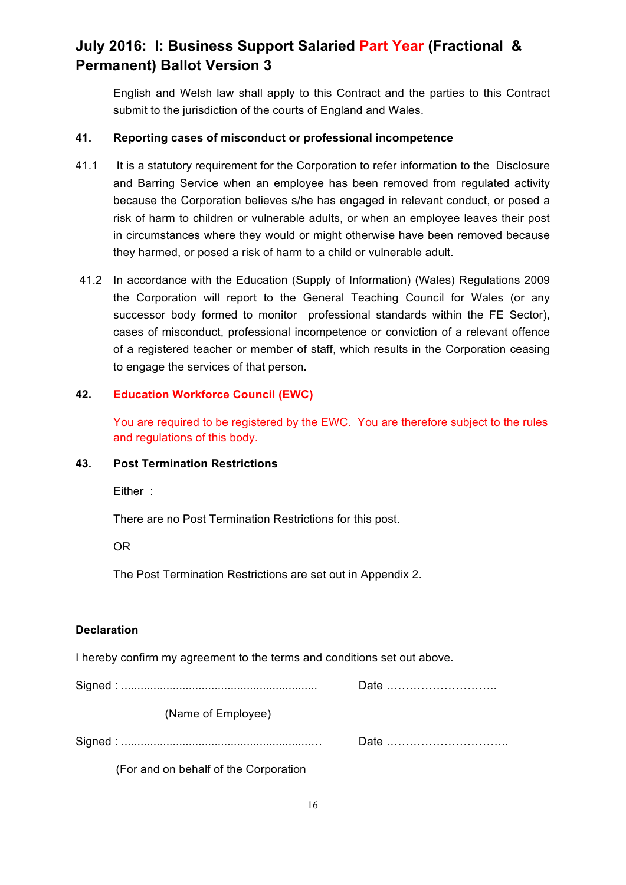English and Welsh law shall apply to this Contract and the parties to this Contract submit to the jurisdiction of the courts of England and Wales.

### **41. Reporting cases of misconduct or professional incompetence**

- 41.1 It is a statutory requirement for the Corporation to refer information to the Disclosure and Barring Service when an employee has been removed from regulated activity because the Corporation believes s/he has engaged in relevant conduct, or posed a risk of harm to children or vulnerable adults, or when an employee leaves their post in circumstances where they would or might otherwise have been removed because they harmed, or posed a risk of harm to a child or vulnerable adult.
- 41.2 In accordance with the Education (Supply of Information) (Wales) Regulations 2009 the Corporation will report to the General Teaching Council for Wales (or any successor body formed to monitor professional standards within the FE Sector), cases of misconduct, professional incompetence or conviction of a relevant offence of a registered teacher or member of staff, which results in the Corporation ceasing to engage the services of that person**.**

### **42. Education Workforce Council (EWC)**

You are required to be registered by the EWC. You are therefore subject to the rules and regulations of this body.

### **43. Post Termination Restrictions**

Either :

There are no Post Termination Restrictions for this post.

OR

The Post Termination Restrictions are set out in Appendix 2.

### **Declaration**

I hereby confirm my agreement to the terms and conditions set out above.

Signed : ............................................................. Date ……………………….. (Name of Employee) Signed : ...........................................................… Date …………………………..

(For and on behalf of the Corporation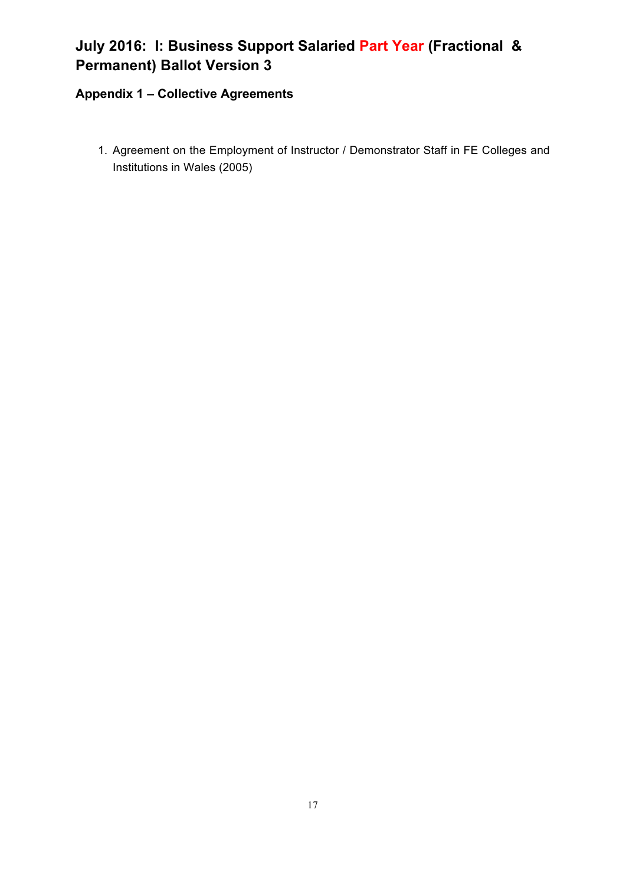### **Appendix 1 – Collective Agreements**

1. Agreement on the Employment of Instructor / Demonstrator Staff in FE Colleges and Institutions in Wales (2005)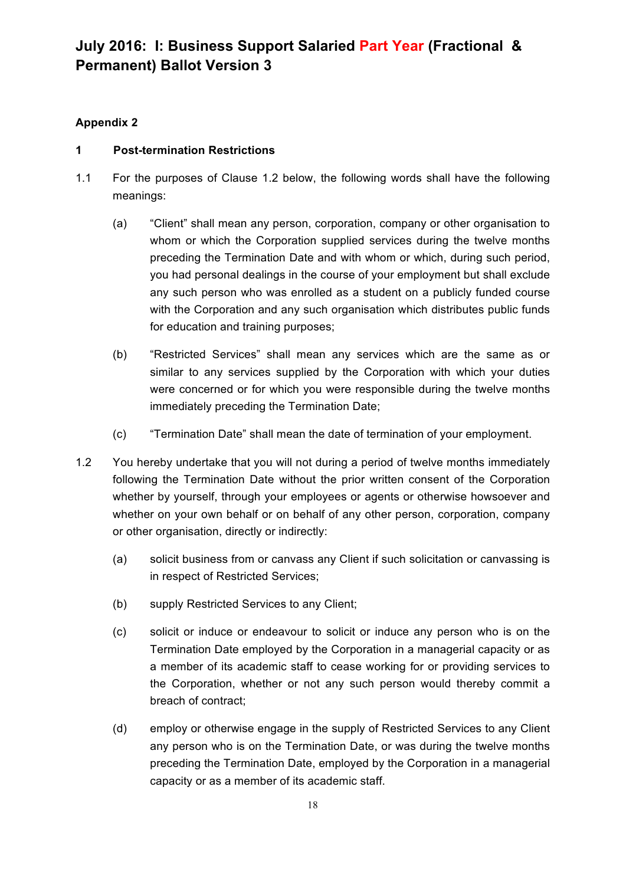### **Appendix 2**

### **1 Post-termination Restrictions**

- 1.1 For the purposes of Clause 1.2 below, the following words shall have the following meanings:
	- (a) "Client" shall mean any person, corporation, company or other organisation to whom or which the Corporation supplied services during the twelve months preceding the Termination Date and with whom or which, during such period, you had personal dealings in the course of your employment but shall exclude any such person who was enrolled as a student on a publicly funded course with the Corporation and any such organisation which distributes public funds for education and training purposes;
	- (b) "Restricted Services" shall mean any services which are the same as or similar to any services supplied by the Corporation with which your duties were concerned or for which you were responsible during the twelve months immediately preceding the Termination Date;
	- (c) "Termination Date" shall mean the date of termination of your employment.
- 1.2 You hereby undertake that you will not during a period of twelve months immediately following the Termination Date without the prior written consent of the Corporation whether by yourself, through your employees or agents or otherwise howsoever and whether on your own behalf or on behalf of any other person, corporation, company or other organisation, directly or indirectly:
	- (a) solicit business from or canvass any Client if such solicitation or canvassing is in respect of Restricted Services;
	- (b) supply Restricted Services to any Client;
	- (c) solicit or induce or endeavour to solicit or induce any person who is on the Termination Date employed by the Corporation in a managerial capacity or as a member of its academic staff to cease working for or providing services to the Corporation, whether or not any such person would thereby commit a breach of contract;
	- (d) employ or otherwise engage in the supply of Restricted Services to any Client any person who is on the Termination Date, or was during the twelve months preceding the Termination Date, employed by the Corporation in a managerial capacity or as a member of its academic staff.